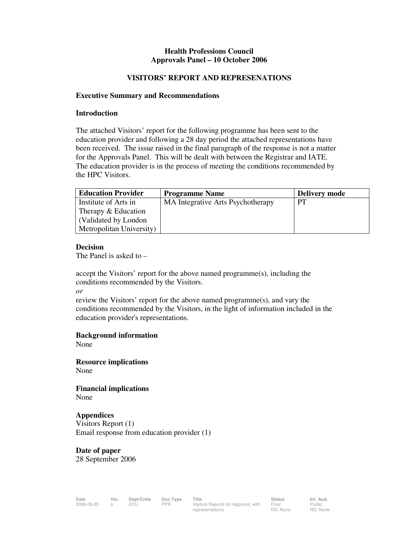#### **Health Professions Council Approvals Panel – 10 October 2006**

#### **VISITORS' REPORT AND REPRESENATIONS**

#### **Executive Summary and Recommendations**

#### **Introduction**

The attached Visitors' report for the following programme has been sent to the education provider and following a 28 day period the attached representations have been received. The issue raised in the final paragraph of the response is not a matter for the Approvals Panel. This will be dealt with between the Registrar and IATE. The education provider is in the process of meeting the conditions recommended by the HPC Visitors.

| <b>Education Provider</b> | <b>Programme Name</b>             | <b>Delivery mode</b> |
|---------------------------|-----------------------------------|----------------------|
| Institute of Arts in      | MA Integrative Arts Psychotherapy | PT                   |
| Therapy & Education       |                                   |                      |
| (Validated by London)     |                                   |                      |
| Metropolitan University)  |                                   |                      |

#### **Decision**

The Panel is asked to –

accept the Visitors' report for the above named programme(s), including the conditions recommended by the Visitors.

*or* 

review the Visitors' report for the above named programme(s), and vary the conditions recommended by the Visitors, in the light of information included in the education provider's representations.

**Background information** 

None

**Resource implications**  None

**Financial implications**  None

## **Appendices**

Visitors Report (1) Email response from education provider (1)

**Date of paper**  28 September 2006

Public RD: None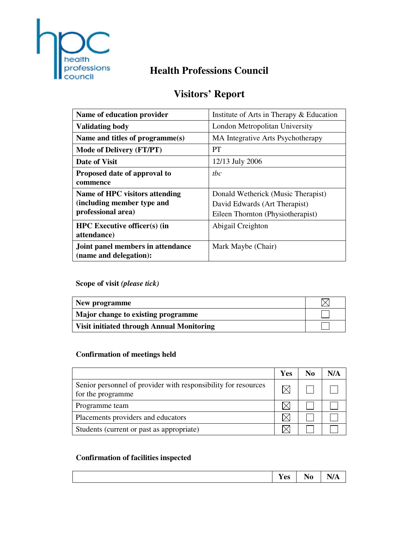

# **Health Professions Council**

# **Visitors' Report**

| Name of education provider                                                                | Institute of Arts in Therapy & Education                                                                 |  |
|-------------------------------------------------------------------------------------------|----------------------------------------------------------------------------------------------------------|--|
| <b>Validating body</b>                                                                    | London Metropolitan University                                                                           |  |
| Name and titles of programme(s)                                                           | MA Integrative Arts Psychotherapy                                                                        |  |
| <b>Mode of Delivery (FT/PT)</b>                                                           | <b>PT</b>                                                                                                |  |
| Date of Visit                                                                             | 12/13 July 2006                                                                                          |  |
| Proposed date of approval to<br>commence                                                  | the                                                                                                      |  |
| <b>Name of HPC visitors attending</b><br>(including member type and<br>professional area) | Donald Wetherick (Music Therapist)<br>David Edwards (Art Therapist)<br>Eileen Thornton (Physiotherapist) |  |
| <b>HPC</b> Executive officer(s) (in<br>attendance)                                        | Abigail Creighton                                                                                        |  |
| Joint panel members in attendance<br>(name and delegation):                               | Mark Maybe (Chair)                                                                                       |  |

# **Scope of visit** *(please tick)*

| New programme                                    |  |
|--------------------------------------------------|--|
| Major change to existing programme               |  |
| <b>Visit initiated through Annual Monitoring</b> |  |

# **Confirmation of meetings held**

|                                                                                     | <b>Yes</b> | N <sub>0</sub> | N/A |
|-------------------------------------------------------------------------------------|------------|----------------|-----|
| Senior personnel of provider with responsibility for resources<br>for the programme |            |                |     |
| Programme team                                                                      |            |                |     |
| Placements providers and educators                                                  |            |                |     |
| Students (current or past as appropriate)                                           |            |                |     |

# **Confirmation of facilities inspected**

|  |  | $-1$<br><b>Yes</b> | $\blacksquare$<br>'~<br>11 U<br>- . - | 7 A<br>VA |
|--|--|--------------------|---------------------------------------|-----------|
|--|--|--------------------|---------------------------------------|-----------|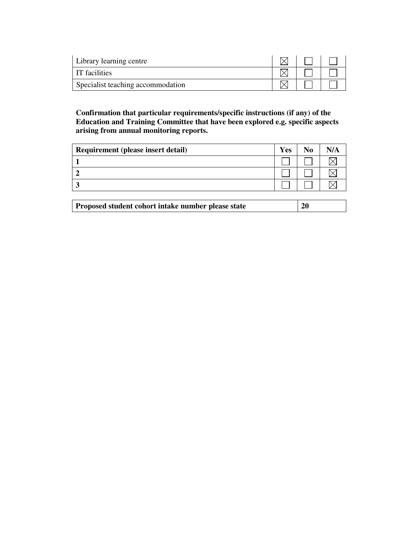| Library learning centre           |  |  |
|-----------------------------------|--|--|
| IT facilities                     |  |  |
| Specialist teaching accommodation |  |  |

## **Confirmation that particular requirements/specific instructions (if any) of the Education and Training Committee that have been explored e.g. specific aspects arising from annual monitoring reports.**

| Requirement (please insert detail) | Yes | No | N/A |
|------------------------------------|-----|----|-----|
|                                    |     |    |     |
|                                    |     |    |     |
|                                    |     |    |     |

| Proposed student cohort intake number please state | <b>20</b> |
|----------------------------------------------------|-----------|
|----------------------------------------------------|-----------|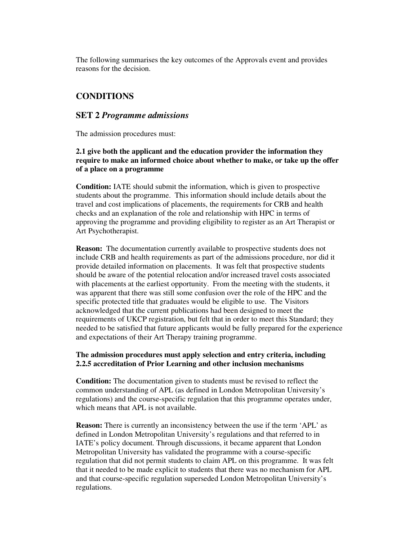The following summarises the key outcomes of the Approvals event and provides reasons for the decision.

## **CONDITIONS**

#### **SET 2** *Programme admissions*

The admission procedures must:

### **2.1 give both the applicant and the education provider the information they require to make an informed choice about whether to make, or take up the offer of a place on a programme**

**Condition:** IATE should submit the information, which is given to prospective students about the programme. This information should include details about the travel and cost implications of placements, the requirements for CRB and health checks and an explanation of the role and relationship with HPC in terms of approving the programme and providing eligibility to register as an Art Therapist or Art Psychotherapist.

**Reason:** The documentation currently available to prospective students does not include CRB and health requirements as part of the admissions procedure, nor did it provide detailed information on placements. It was felt that prospective students should be aware of the potential relocation and/or increased travel costs associated with placements at the earliest opportunity. From the meeting with the students, it was apparent that there was still some confusion over the role of the HPC and the specific protected title that graduates would be eligible to use. The Visitors acknowledged that the current publications had been designed to meet the requirements of UKCP registration, but felt that in order to meet this Standard; they needed to be satisfied that future applicants would be fully prepared for the experience and expectations of their Art Therapy training programme.

#### **The admission procedures must apply selection and entry criteria, including 2.2.5 accreditation of Prior Learning and other inclusion mechanisms**

**Condition:** The documentation given to students must be revised to reflect the common understanding of APL (as defined in London Metropolitan University's regulations) and the course-specific regulation that this programme operates under, which means that APL is not available.

**Reason:** There is currently an inconsistency between the use if the term 'APL' as defined in London Metropolitan University's regulations and that referred to in IATE's policy document. Through discussions, it became apparent that London Metropolitan University has validated the programme with a course-specific regulation that did not permit students to claim APL on this programme. It was felt that it needed to be made explicit to students that there was no mechanism for APL and that course-specific regulation superseded London Metropolitan University's regulations.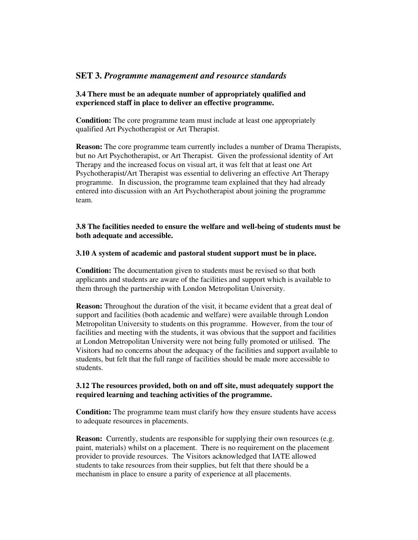## **SET 3.** *Programme management and resource standards*

## **3.4 There must be an adequate number of appropriately qualified and experienced staff in place to deliver an effective programme.**

**Condition:** The core programme team must include at least one appropriately qualified Art Psychotherapist or Art Therapist.

**Reason:** The core programme team currently includes a number of Drama Therapists, but no Art Psychotherapist, or Art Therapist. Given the professional identity of Art Therapy and the increased focus on visual art, it was felt that at least one Art Psychotherapist/Art Therapist was essential to delivering an effective Art Therapy programme. In discussion, the programme team explained that they had already entered into discussion with an Art Psychotherapist about joining the programme team.

### **3.8 The facilities needed to ensure the welfare and well-being of students must be both adequate and accessible.**

#### **3.10 A system of academic and pastoral student support must be in place.**

**Condition:** The documentation given to students must be revised so that both applicants and students are aware of the facilities and support which is available to them through the partnership with London Metropolitan University.

**Reason:** Throughout the duration of the visit, it became evident that a great deal of support and facilities (both academic and welfare) were available through London Metropolitan University to students on this programme. However, from the tour of facilities and meeting with the students, it was obvious that the support and facilities at London Metropolitan University were not being fully promoted or utilised. The Visitors had no concerns about the adequacy of the facilities and support available to students, but felt that the full range of facilities should be made more accessible to students.

#### **3.12 The resources provided, both on and off site, must adequately support the required learning and teaching activities of the programme.**

**Condition:** The programme team must clarify how they ensure students have access to adequate resources in placements.

**Reason:** Currently, students are responsible for supplying their own resources (e.g. paint, materials) whilst on a placement. There is no requirement on the placement provider to provide resources. The Visitors acknowledged that IATE allowed students to take resources from their supplies, but felt that there should be a mechanism in place to ensure a parity of experience at all placements.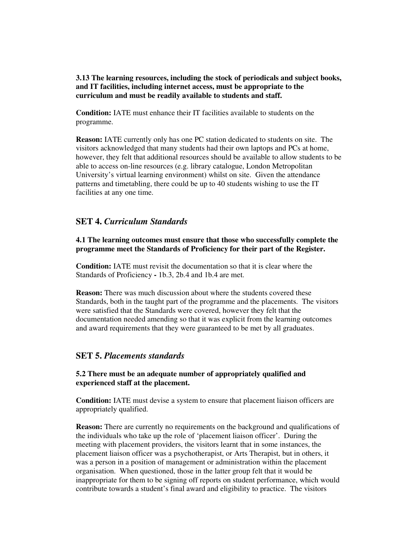**3.13 The learning resources, including the stock of periodicals and subject books, and IT facilities, including internet access, must be appropriate to the curriculum and must be readily available to students and staff.** 

**Condition:** IATE must enhance their IT facilities available to students on the programme.

**Reason:** IATE currently only has one PC station dedicated to students on site. The visitors acknowledged that many students had their own laptops and PCs at home, however, they felt that additional resources should be available to allow students to be able to access on-line resources (e.g. library catalogue, London Metropolitan University's virtual learning environment) whilst on site. Given the attendance patterns and timetabling, there could be up to 40 students wishing to use the IT facilities at any one time.

## **SET 4.** *Curriculum Standards*

**4.1 The learning outcomes must ensure that those who successfully complete the programme meet the Standards of Proficiency for their part of the Register.** 

**Condition:** IATE must revisit the documentation so that it is clear where the Standards of Proficiency **-** 1b.3, 2b.4 and 1b.4 are met.

**Reason:** There was much discussion about where the students covered these Standards, both in the taught part of the programme and the placements. The visitors were satisfied that the Standards were covered, however they felt that the documentation needed amending so that it was explicit from the learning outcomes and award requirements that they were guaranteed to be met by all graduates.

#### **SET 5.** *Placements standards*

#### **5.2 There must be an adequate number of appropriately qualified and experienced staff at the placement.**

**Condition:** IATE must devise a system to ensure that placement liaison officers are appropriately qualified.

**Reason:** There are currently no requirements on the background and qualifications of the individuals who take up the role of 'placement liaison officer'. During the meeting with placement providers, the visitors learnt that in some instances, the placement liaison officer was a psychotherapist, or Arts Therapist, but in others, it was a person in a position of management or administration within the placement organisation. When questioned, those in the latter group felt that it would be inappropriate for them to be signing off reports on student performance, which would contribute towards a student's final award and eligibility to practice. The visitors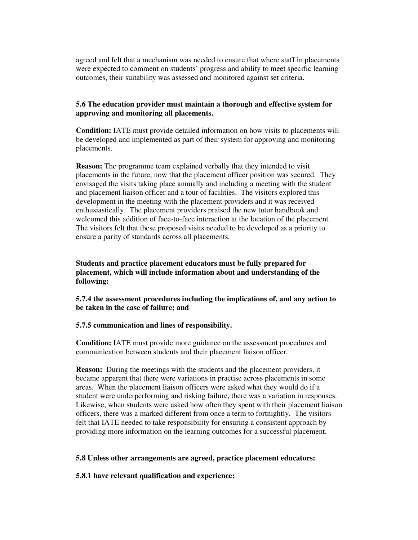agreed and felt that a mechanism was needed to ensure that where staff in placements were expected to comment on students' progress and ability to meet specific learning outcomes, their suitability was assessed and monitored against set criteria.

#### **5.6 The education provider must maintain a thorough and effective system for approving and monitoring all placements.**

**Condition:** IATE must provide detailed information on how visits to placements will be developed and implemented as part of their system for approving and monitoring placements.

**Reason:** The programme team explained verbally that they intended to visit placements in the future, now that the placement officer position was secured. They envisaged the visits taking place annually and including a meeting with the student and placement liaison officer and a tour of facilities. The visitors explored this development in the meeting with the placement providers and it was received enthusiastically. The placement providers praised the new tutor handbook and welcomed this addition of face-to-face interaction at the location of the placement. The visitors felt that these proposed visits needed to be developed as a priority to ensure a parity of standards across all placements.

**Students and practice placement educators must be fully prepared for placement, which will include information about and understanding of the following:** 

**5.7.4 the assessment procedures including the implications of, and any action to be taken in the case of failure; and** 

#### **5.7.5 communication and lines of responsibility.**

**Condition:** IATE must provide more guidance on the assessment procedures and communication between students and their placement liaison officer.

**Reason:** During the meetings with the students and the placement providers, it became apparent that there were variations in practise across placements in some areas. When the placement liaison officers were asked what they would do if a student were underperforming and risking failure, there was a variation in responses. Likewise, when students were asked how often they spent with their placement liaison officers, there was a marked different from once a term to fortnightly. The visitors felt that IATE needed to take responsibility for ensuring a consistent approach by providing more information on the learning outcomes for a successful placement.

#### **5.8 Unless other arrangements are agreed, practice placement educators:**

#### **5.8.1 have relevant qualification and experience;**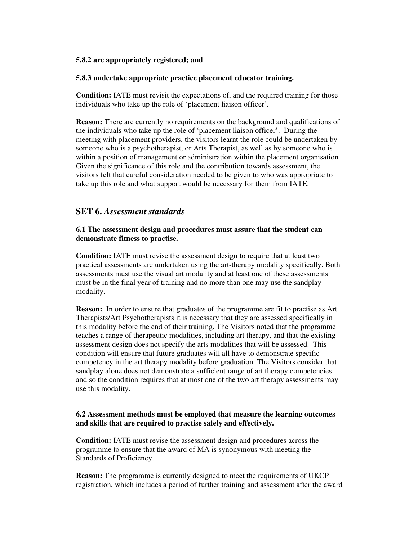#### **5.8.2 are appropriately registered; and**

#### **5.8.3 undertake appropriate practice placement educator training.**

**Condition:** IATE must revisit the expectations of, and the required training for those individuals who take up the role of 'placement liaison officer'.

**Reason:** There are currently no requirements on the background and qualifications of the individuals who take up the role of 'placement liaison officer'. During the meeting with placement providers, the visitors learnt the role could be undertaken by someone who is a psychotherapist, or Arts Therapist, as well as by someone who is within a position of management or administration within the placement organisation. Given the significance of this role and the contribution towards assessment, the visitors felt that careful consideration needed to be given to who was appropriate to take up this role and what support would be necessary for them from IATE.

## **SET 6.** *Assessment standards*

#### **6.1 The assessment design and procedures must assure that the student can demonstrate fitness to practise.**

**Condition:** IATE must revise the assessment design to require that at least two practical assessments are undertaken using the art-therapy modality specifically. Both assessments must use the visual art modality and at least one of these assessments must be in the final year of training and no more than one may use the sandplay modality.

**Reason:** In order to ensure that graduates of the programme are fit to practise as Art Therapists/Art Psychotherapists it is necessary that they are assessed specifically in this modality before the end of their training. The Visitors noted that the programme teaches a range of therapeutic modalities, including art therapy, and that the existing assessment design does not specify the arts modalities that will be assessed. This condition will ensure that future graduates will all have to demonstrate specific competency in the art therapy modality before graduation. The Visitors consider that sandplay alone does not demonstrate a sufficient range of art therapy competencies, and so the condition requires that at most one of the two art therapy assessments may use this modality.

#### **6.2 Assessment methods must be employed that measure the learning outcomes and skills that are required to practise safely and effectively.**

**Condition:** IATE must revise the assessment design and procedures across the programme to ensure that the award of MA is synonymous with meeting the Standards of Proficiency.

**Reason:** The programme is currently designed to meet the requirements of UKCP registration, which includes a period of further training and assessment after the award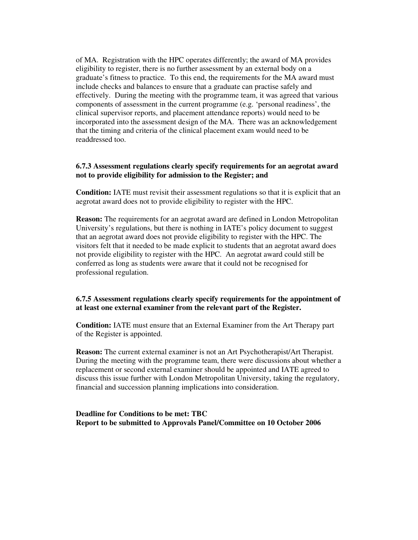of MA. Registration with the HPC operates differently; the award of MA provides eligibility to register, there is no further assessment by an external body on a graduate's fitness to practice. To this end, the requirements for the MA award must include checks and balances to ensure that a graduate can practise safely and effectively. During the meeting with the programme team, it was agreed that various components of assessment in the current programme (e.g. 'personal readiness', the clinical supervisor reports, and placement attendance reports) would need to be incorporated into the assessment design of the MA. There was an acknowledgement that the timing and criteria of the clinical placement exam would need to be readdressed too.

#### **6.7.3 Assessment regulations clearly specify requirements for an aegrotat award not to provide eligibility for admission to the Register; and**

**Condition:** IATE must revisit their assessment regulations so that it is explicit that an aegrotat award does not to provide eligibility to register with the HPC.

**Reason:** The requirements for an aegrotat award are defined in London Metropolitan University's regulations, but there is nothing in IATE's policy document to suggest that an aegrotat award does not provide eligibility to register with the HPC. The visitors felt that it needed to be made explicit to students that an aegrotat award does not provide eligibility to register with the HPC. An aegrotat award could still be conferred as long as students were aware that it could not be recognised for professional regulation.

#### **6.7.5 Assessment regulations clearly specify requirements for the appointment of at least one external examiner from the relevant part of the Register.**

**Condition:** IATE must ensure that an External Examiner from the Art Therapy part of the Register is appointed.

**Reason:** The current external examiner is not an Art Psychotherapist/Art Therapist. During the meeting with the programme team, there were discussions about whether a replacement or second external examiner should be appointed and IATE agreed to discuss this issue further with London Metropolitan University, taking the regulatory, financial and succession planning implications into consideration.

**Deadline for Conditions to be met: TBC Report to be submitted to Approvals Panel/Committee on 10 October 2006**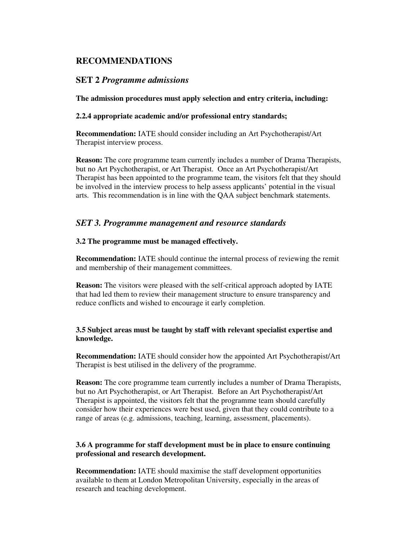## **RECOMMENDATIONS**

## **SET 2** *Programme admissions*

**The admission procedures must apply selection and entry criteria, including:** 

## **2.2.4 appropriate academic and/or professional entry standards;**

**Recommendation:** IATE should consider including an Art Psychotherapist/Art Therapist interview process.

**Reason:** The core programme team currently includes a number of Drama Therapists, but no Art Psychotherapist, or Art Therapist. Once an Art Psychotherapist/Art Therapist has been appointed to the programme team, the visitors felt that they should be involved in the interview process to help assess applicants' potential in the visual arts. This recommendation is in line with the QAA subject benchmark statements.

## *SET 3. Programme management and resource standards*

## **3.2 The programme must be managed effectively.**

**Recommendation:** IATE should continue the internal process of reviewing the remit and membership of their management committees.

**Reason:** The visitors were pleased with the self-critical approach adopted by IATE that had led them to review their management structure to ensure transparency and reduce conflicts and wished to encourage it early completion.

## **3.5 Subject areas must be taught by staff with relevant specialist expertise and knowledge.**

**Recommendation:** IATE should consider how the appointed Art Psychotherapist/Art Therapist is best utilised in the delivery of the programme.

**Reason:** The core programme team currently includes a number of Drama Therapists, but no Art Psychotherapist, or Art Therapist. Before an Art Psychotherapist/Art Therapist is appointed, the visitors felt that the programme team should carefully consider how their experiences were best used, given that they could contribute to a range of areas (e.g. admissions, teaching, learning, assessment, placements).

## **3.6 A programme for staff development must be in place to ensure continuing professional and research development.**

**Recommendation:** IATE should maximise the staff development opportunities available to them at London Metropolitan University, especially in the areas of research and teaching development.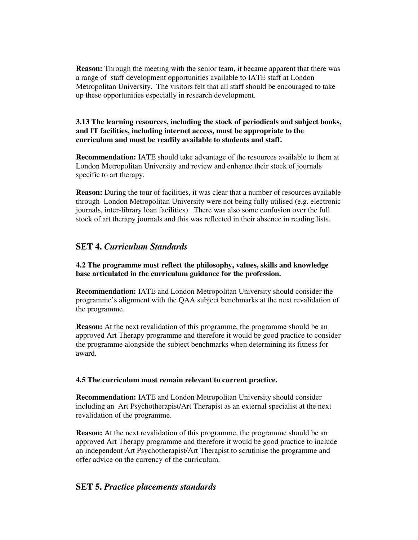**Reason:** Through the meeting with the senior team, it became apparent that there was a range of staff development opportunities available to IATE staff at London Metropolitan University. The visitors felt that all staff should be encouraged to take up these opportunities especially in research development.

#### **3.13 The learning resources, including the stock of periodicals and subject books, and IT facilities, including internet access, must be appropriate to the curriculum and must be readily available to students and staff.**

**Recommendation:** IATE should take advantage of the resources available to them at London Metropolitan University and review and enhance their stock of journals specific to art therapy.

**Reason:** During the tour of facilities, it was clear that a number of resources available through London Metropolitan University were not being fully utilised (e.g. electronic journals, inter-library loan facilities). There was also some confusion over the full stock of art therapy journals and this was reflected in their absence in reading lists.

## **SET 4.** *Curriculum Standards*

#### **4.2 The programme must reflect the philosophy, values, skills and knowledge base articulated in the curriculum guidance for the profession.**

**Recommendation:** IATE and London Metropolitan University should consider the programme's alignment with the QAA subject benchmarks at the next revalidation of the programme.

**Reason:** At the next revalidation of this programme, the programme should be an approved Art Therapy programme and therefore it would be good practice to consider the programme alongside the subject benchmarks when determining its fitness for award.

#### **4.5 The curriculum must remain relevant to current practice.**

**Recommendation:** IATE and London Metropolitan University should consider including an Art Psychotherapist/Art Therapist as an external specialist at the next revalidation of the programme.

**Reason:** At the next revalidation of this programme, the programme should be an approved Art Therapy programme and therefore it would be good practice to include an independent Art Psychotherapist/Art Therapist to scrutinise the programme and offer advice on the currency of the curriculum.

## **SET 5.** *Practice placements standards*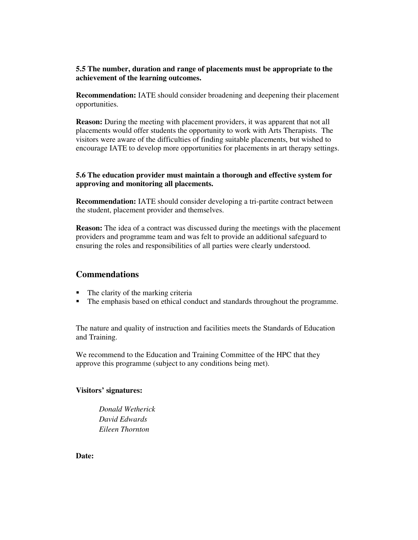### **5.5 The number, duration and range of placements must be appropriate to the achievement of the learning outcomes.**

**Recommendation:** IATE should consider broadening and deepening their placement opportunities.

**Reason:** During the meeting with placement providers, it was apparent that not all placements would offer students the opportunity to work with Arts Therapists. The visitors were aware of the difficulties of finding suitable placements, but wished to encourage IATE to develop more opportunities for placements in art therapy settings.

### **5.6 The education provider must maintain a thorough and effective system for approving and monitoring all placements.**

**Recommendation:** IATE should consider developing a tri-partite contract between the student, placement provider and themselves.

**Reason:** The idea of a contract was discussed during the meetings with the placement providers and programme team and was felt to provide an additional safeguard to ensuring the roles and responsibilities of all parties were clearly understood.

## **Commendations**

- The clarity of the marking criteria
- The emphasis based on ethical conduct and standards throughout the programme.

The nature and quality of instruction and facilities meets the Standards of Education and Training.

We recommend to the Education and Training Committee of the HPC that they approve this programme (subject to any conditions being met).

## **Visitors' signatures:**

*Donald Wetherick David Edwards Eileen Thornton* 

**Date:**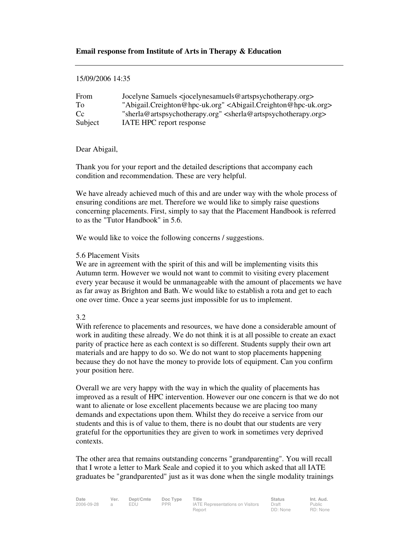#### **Email response from Institute of Arts in Therapy & Education**

#### 15/09/2006 14:35

| From        | Jocelyne Samuels <iocelynesamuels@artspsychotherapy.org></iocelynesamuels@artspsychotherapy.org> |
|-------------|--------------------------------------------------------------------------------------------------|
| To          | "Abigail.Creighton@hpc-uk.org" <abigail.creighton@hpc-uk.org></abigail.creighton@hpc-uk.org>     |
| $C_{\rm C}$ | "sherla@artspsychotherapy.org" <sherla@artspsychotherapy.org></sherla@artspsychotherapy.org>     |
| Subject     | IATE HPC report response                                                                         |

#### Dear Abigail,

Thank you for your report and the detailed descriptions that accompany each condition and recommendation. These are very helpful.

We have already achieved much of this and are under way with the whole process of ensuring conditions are met. Therefore we would like to simply raise questions concerning placements. First, simply to say that the Placement Handbook is referred to as the "Tutor Handbook" in 5.6.

We would like to voice the following concerns / suggestions.

#### 5.6 Placement Visits

We are in agreement with the spirit of this and will be implementing visits this Autumn term. However we would not want to commit to visiting every placement every year because it would be unmanageable with the amount of placements we have as far away as Brighton and Bath. We would like to establish a rota and get to each one over time. Once a year seems just impossible for us to implement.

#### 3.2

With reference to placements and resources, we have done a considerable amount of work in auditing these already. We do not think it is at all possible to create an exact parity of practice here as each context is so different. Students supply their own art materials and are happy to do so. We do not want to stop placements happening because they do not have the money to provide lots of equipment. Can you confirm your position here.

Overall we are very happy with the way in which the quality of placements has improved as a result of HPC intervention. However our one concern is that we do not want to alienate or lose excellent placements because we are placing too many demands and expectations upon them. Whilst they do receive a service from our students and this is of value to them, there is no doubt that our students are very grateful for the opportunities they are given to work in sometimes very deprived contexts.

The other area that remains outstanding concerns "grandparenting". You will recall that I wrote a letter to Mark Seale and copied it to you which asked that all IATE graduates be "grandparented" just as it was done when the single modality trainings

| Date       | Ver. | Dept/Cmte  | Doc Type   | Title                                   | <b>Status</b> | Int. Aud. |
|------------|------|------------|------------|-----------------------------------------|---------------|-----------|
| 2006-09-28 |      | <b>EDU</b> | <b>PPR</b> | <b>IATE Representations on Visitors</b> | Draft         | Public    |
|            |      |            |            | Report                                  | DD: None      | RD: Non   |

Public RD: None